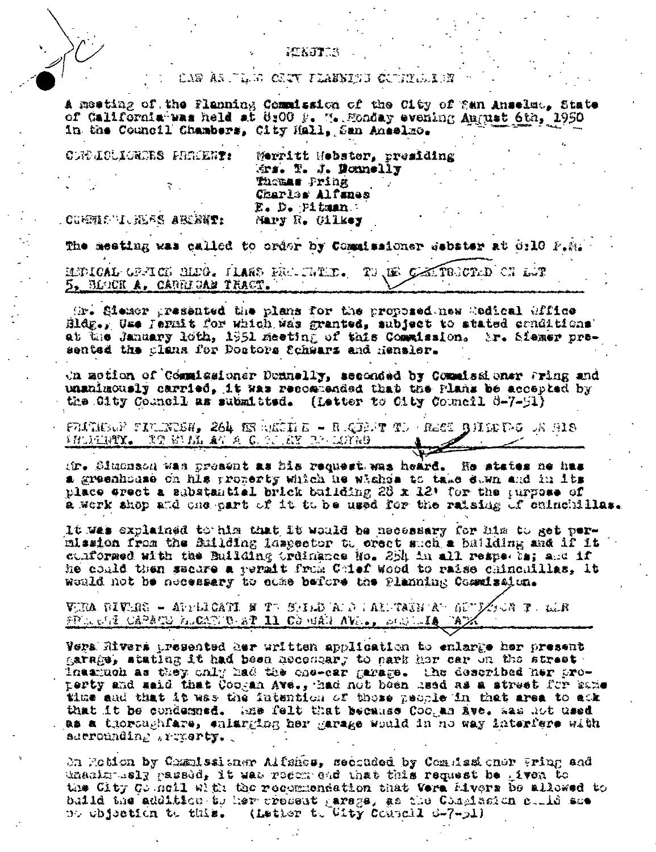#### PEKETT S

### cap às jugo caty *tuab*his configura

A meeting of the Flanning Commission of the City of San Anselmo, State of California was held at 8:00 P. M. Monday evening August 6th, 1950 in the Council Chambers, City Hall, San Anselmo.

CLEDIOLICRIES PREFERE: Merritt Hebster, presiding Ars. T. J. Bonnelly Themas Pring Charles Alfanes E. D. Pitman Mary R. Oilkey

**COMMENT NEES ARENET:** 

The meeting was called to order by Commissioner debater at 0:10 F.M.

MUDICAL GRACH MEG. HARS FRACTED. TO US CARTROOLD ON LOT 5, BLOCK A, CARRIGAN TRACT.

(h). Siemer presented the plans for the proposed new Redical Gffice Bldg., Use Jermit for which was granted, subject to atated conditions' at the January loth, 1951 meeting of this Commission. Ar. Siemer presented the clans for Doctors Schwarz and Hensler.

On motion of Commissioner Donnelly, seconded by Commissioner Fring and unanimously carried, it was recommended that the Plans be accepted by the City Council as submitted. (Letter to City Council 6-7-51)

FELTIENT TITURISH. 264 ER NEGIN E - RIQINT TI (ESCI RINGIPO IN SIS **FRUNKING TO BE BELLEY A C. O. RY DEVICED.** 

tir. Simonach was preaent as his request was heard. He states he has a greenhouse on his property which he wishes to take even and in its place erect a substantial brick building 28 x 12' for the turpose of a work shop and che part of it to be used for the raising of cuinchillas.

It was explained to him that it would be necessary for him to get permlasion from the Building lassector to creet such a building and if it cunformed with the Building trainance No. 254 in all respects; and if he could then sacare a vermit from Chief Wood to raise chinchillas. It would not be necessary to come before the Planning Cosmission.

VIRA BIVIRS – APPLICATI F TV SHED AFD I ARPTAIN AV GUVZOCH PULLER FREE OF CAPACH ALCATED AT II COMAN AVE., SENTING PAX

Vera Rivers presented her aritten application to enlarge her present garage, stating it had been necessary to sark her car on the street. Inaatuch as they only had the one-car garage. The described her pro-<br>perty and said that Coogan Ave., had not been used as a street for same time and that it was the futuntion of those neonle in that area to ack that it be condemned. Whe felt that because Coogan Ave. sas not used as a thoroughfare, enlarging her garage would in no way interfere with aderounding traperty.

On Mobion by Chamissianer Alfancs, seconded by Compian ener Wring and unanim-isly passed, it was recented that this request be itven to the City Council with the recommendation that Vera Mivers be allowed to build the addition to her present parage, as the Chapinsion could see (Letter to City Council d-7-ol) no chication to this.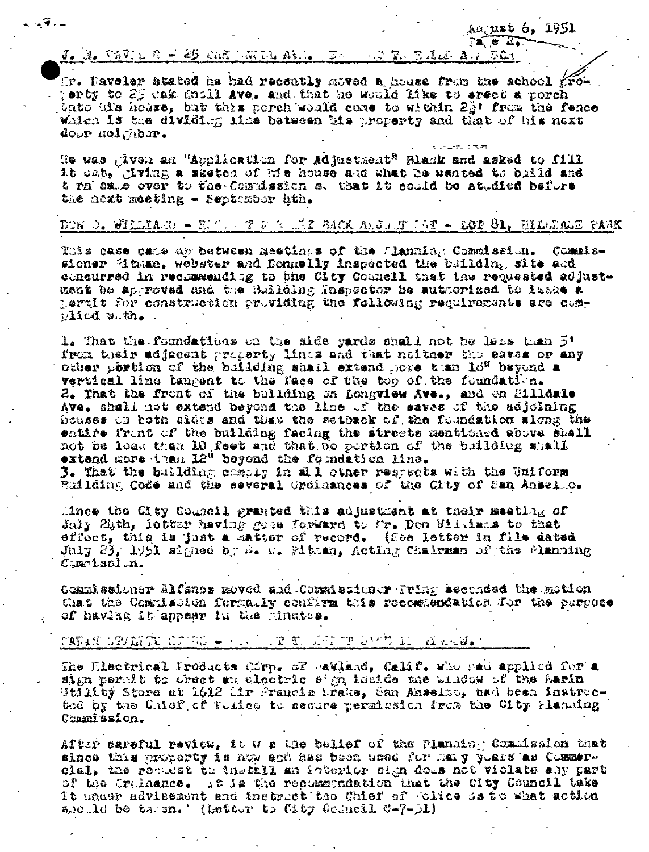Aaj**ust 6, 1951** 

 $24.62.$ 

### $J_{\sigma}$  is thus  $L$   $R = 25$  and then also  $R_{\sigma}$  of  $R_{\sigma}$  and  $R_{\sigma}$  and  $R_{\sigma}$  and  $R_{\sigma}$

- 49. -

IF. Daveler stated he had recently moved a house from the school grow perty to 25 cak anoll Ave. and that he would like to erect a porch onto uis house, hut thas porch would come to within 22' from the fence Which is the dividing line between the property and that of his next dour neighbor.

He was given an "Application for Adjustment" Black and asked to fill it cat, giving a sketch of his house and what he santed to baild and t ra same over to the Commission s. that it could be studied before the next meeting - September hth.

## DON 0. WILLIAM - BJO, JI V SULLI BACK ALULUT JET - LØD 81, MILLIALD PAGK

This case case up between meetings of the Flanning Commission. Commissioner diman, webster and Donnelly inspected the buildla, site and concurred in recommending to the City Council that the requested adjustment be approved and the Building Inspector be authorized to itsue a pertit for construction providing the following requirements are com- $11cd$  with.

1. That the foundations on the side yards shall not be less than 5! from their adjacent property lines and that noither the eaves or any other pertion of the building shall extend pore than 18" beyond a vertical line tangent to the face of the top of the foundation. 2. That the front of the building on Longview Ave., and on Hilldale Ave. shall not extend beyond the line of the eaves of the adjoining houses on both sides and than the setback of the foundation slong the entire front of the building facing the streets mentioned above shall not be loss than 10 feet and that he pertion of the building whall extend more than 12" beyond the foundation line. 3. That the building comply in all other respects with the Uniform Building Code and the several Ordinances of the City of San Ansel.c.

Mince the City Council granted this adjustment at their meeting of July 20th, lotter having gone forward to Mr. Den Billians to that effect, this is just a matter of record. (Hee letter in file dated July 23, 1991 signed by D. D. Pitzan, Acting Chairman of the Manning  $C<sub>5</sub>$ n 1.sal.n.

Commissioner Alfsnom moved and Commissioner Tring accurded the motion that the Commission formally confirm this recommendation for the purpose of having it appear in the minutes.

# TATAN GRAMATI CRINI – 1990 UR TU LUI TROVIN DI ALASONA I

The Electrical Products Corp. of earland, Calif. who had applied for a sign permit to drect an electric sign inside me window of the Sarin Utility Store at 1612 Mir Francie Mrake, San Anselze, had been instructed by the Chief of Tuiles to secure permission from the City Flanning Commission.

After careful review, it was the belief of the Flanning Commission that since this property is now and has been used for mail pushs as Commercial, the remiest to install an interior sign doss not violate any part of the Cralmance. It is the recommendation that the City Council take It under advisement and instruct the Chief of Clice he to what action alculd be taren. (Letter to City Council  $\mathcal{C}$ -(-)1)